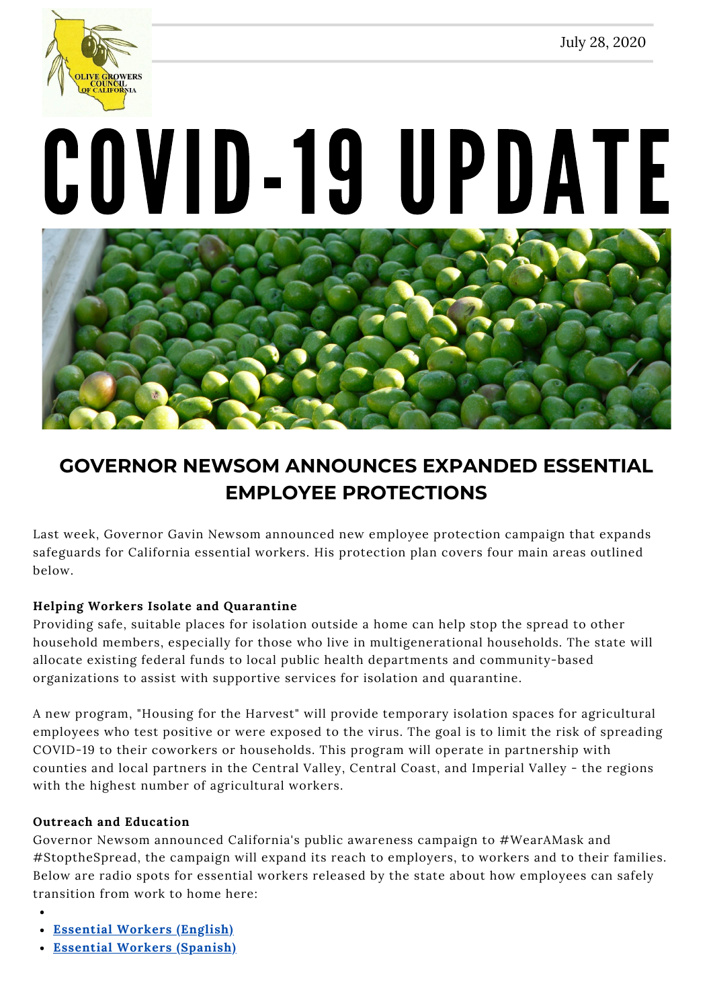

# COVID-19 UPDATE



# **GOVERNOR NEWSOM ANNOUNCES EXPANDED ESSENTIAL EMPLOYEE PROTECTIONS**

Last week, Governor Gavin Newsom announced new employee protection campaign that expands safeguards for California essential workers. His protection plan covers four main areas outlined below.

## **Helping Workers Isolate and Quarantine**

Providing safe, suitable places for isolation outside a home can help stop the spread to other household members, especially for those who live in multigenerational households. The state will allocate existing federal funds to local public health departments and community-based organizations to assist with supportive services for isolation and quarantine.

A new program, "Housing for the Harvest" will provide temporary isolation spaces for agricultural employees who test positive or were exposed to the virus. The goal is to limit the risk of spreading COVID-19 to their coworkers or households. This program will operate in partnership with counties and local partners in the Central Valley, Central Coast, and Imperial Valley - the regions with the highest number of agricultural workers.

### **Outreach and Education**

Governor Newsom announced California's public awareness campaign to #WearAMask and #StoptheSpread, the campaign will expand its reach to employers, to workers and to their families. Below are radio spots for essential workers released by the state about how employees can safely transition from work to home here:

- **[Essential](https://www.dropbox.com/s/9ixedsdcig5c2nv/Essential%20Worker%20ENG_Full%20Mix-radio.mp3?dl=0) Workers (English)**
- **Essential Workers [\(Spanish\)](https://www.dropbox.com/s/4quiw94x27vp498/Essential%20Worker%20SPN_Full%20Mix-radio.mp3?dl=0)**